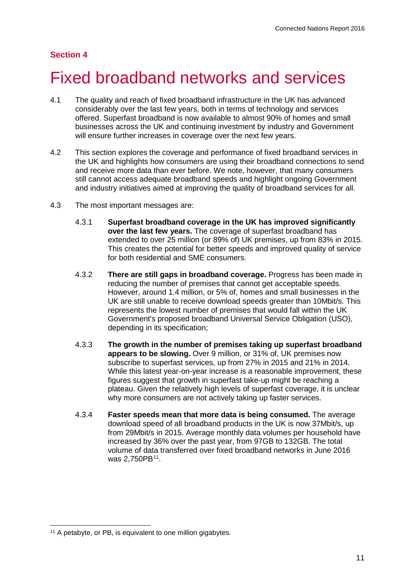# **Section 4**

# 4 Fixed broadband networks and services

- 4.1 The quality and reach of fixed broadband infrastructure in the UK has advanced considerably over the last few years, both in terms of technology and services offered. Superfast broadband is now available to almost 90% of homes and small businesses across the UK and continuing investment by industry and Government will ensure further increases in coverage over the next few years.
- 4.2 This section explores the coverage and performance of fixed broadband services in the UK and highlights how consumers are using their broadband connections to send and receive more data than ever before. We note, however, that many consumers still cannot access adequate broadband speeds and highlight ongoing Government and industry initiatives aimed at improving the quality of broadband services for all.
- 4.3 The most important messages are:
	- 4.3.1 **Superfast broadband coverage in the UK has improved significantly over the last few years.** The coverage of superfast broadband has extended to over 25 million (or 89% of) UK premises, up from 83% in 2015. This creates the potential for better speeds and improved quality of service for both residential and SME consumers.
	- 4.3.2 **There are still gaps in broadband coverage.** Progress has been made in reducing the number of premises that cannot get acceptable speeds. However, around 1.4 million, or 5% of, homes and small businesses in the UK are still unable to receive download speeds greater than 10Mbit/s. This represents the lowest number of premises that would fall within the UK Government's proposed broadband Universal Service Obligation (USO), depending in its specification;
	- 4.3.3 **The growth in the number of premises taking up superfast broadband appears to be slowing.** Over 9 million, or 31% of, UK premises now subscribe to superfast services, up from 27% in 2015 and 21% in 2014. While this latest year-on-year increase is a reasonable improvement, these figures suggest that growth in superfast take-up might be reaching a plateau. Given the relatively high levels of superfast coverage, it is unclear why more consumers are not actively taking up faster services.
	- 4.3.4 **Faster speeds mean that more data is being consumed.** The average download speed of all broadband products in the UK is now 37Mbit/s, up from 29Mbit/s in 2015. Average monthly data volumes per household have increased by 36% over the past year, from 97GB to 132GB. The total volume of data transferred over fixed broadband networks in June 2016 was 2,750PB<sup>11</sup>.

<span id="page-0-0"></span><sup>&</sup>lt;sup>11</sup> A petabyte, or PB, is equivalent to one million gigabytes.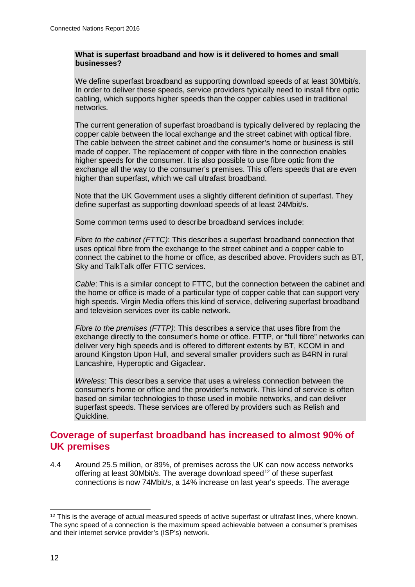#### **What is superfast broadband and how is it delivered to homes and small businesses?**

We define superfast broadband as supporting download speeds of at least 30Mbit/s. In order to deliver these speeds, service providers typically need to install fibre optic cabling, which supports higher speeds than the copper cables used in traditional networks.

The current generation of superfast broadband is typically delivered by replacing the copper cable between the local exchange and the street cabinet with optical fibre. The cable between the street cabinet and the consumer's home or business is still made of copper. The replacement of copper with fibre in the connection enables higher speeds for the consumer. It is also possible to use fibre optic from the exchange all the way to the consumer's premises. This offers speeds that are even higher than superfast, which we call ultrafast broadband.

Note that the UK Government uses a slightly different definition of superfast. They define superfast as supporting download speeds of at least 24Mbit/s.

Some common terms used to describe broadband services include:

*Fibre to the cabinet (FTTC)*: This describes a superfast broadband connection that uses optical fibre from the exchange to the street cabinet and a copper cable to connect the cabinet to the home or office, as described above. Providers such as BT, Sky and TalkTalk offer FTTC services.

*Cable*: This is a similar concept to FTTC, but the connection between the cabinet and the home or office is made of a particular type of copper cable that can support very high speeds. Virgin Media offers this kind of service, delivering superfast broadband and television services over its cable network.

*Fibre to the premises (FTTP)*: This describes a service that uses fibre from the exchange directly to the consumer's home or office. FTTP, or "full fibre" networks can deliver very high speeds and is offered to different extents by BT, KCOM in and around Kingston Upon Hull, and several smaller providers such as B4RN in rural Lancashire, Hyperoptic and Gigaclear.

*Wireless*: This describes a service that uses a wireless connection between the consumer's home or office and the provider's network. This kind of service is often based on similar technologies to those used in mobile networks, and can deliver superfast speeds. These services are offered by providers such as Relish and Quickline.

# **Coverage of superfast broadband has increased to almost 90% of UK premises**

4.4 Around 25.5 million, or 89%, of premises across the UK can now access networks offering at least 30Mbit/s. The average download speed<sup>[12](#page-1-0)</sup> of these superfast connections is now 74Mbit/s, a 14% increase on last year's speeds. The average

<span id="page-1-0"></span><sup>&</sup>lt;sup>12</sup> This is the average of actual measured speeds of active superfast or ultrafast lines, where known. The sync speed of a connection is the maximum speed achievable between a consumer's premises and their internet service provider's (ISP's) network.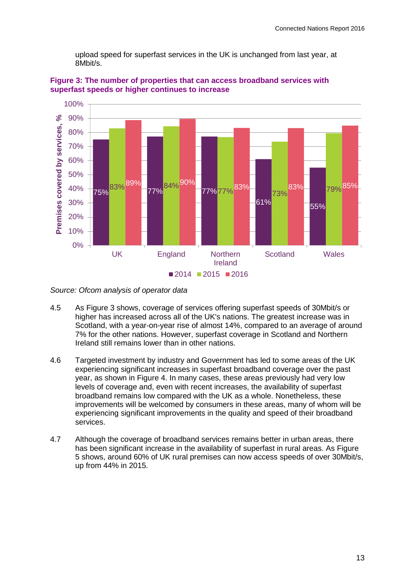upload speed for superfast services in the UK is unchanged from last year, at 8Mbit/s.



<span id="page-2-0"></span>**Figure 3: The number of properties that can access broadband services with superfast speeds or higher continues to increase**

- 4.5 As [Figure 3](#page-2-0) shows, coverage of services offering superfast speeds of 30Mbit/s or higher has increased across all of the UK's nations. The greatest increase was in Scotland, with a year-on-year rise of almost 14%, compared to an average of around 7% for the other nations. However, superfast coverage in Scotland and Northern Ireland still remains lower than in other nations.
- 4.6 Targeted investment by industry and Government has led to some areas of the UK experiencing significant increases in superfast broadband coverage over the past year, as shown in [Figure 4.](#page-3-0) In many cases, these areas previously had very low levels of coverage and, even with recent increases, the availability of superfast broadband remains low compared with the UK as a whole. Nonetheless, these improvements will be welcomed by consumers in these areas, many of whom will be experiencing significant improvements in the quality and speed of their broadband services.
- 4.7 Although the coverage of broadband services remains better in urban areas, there has been significant increase in the availability of superfast in rural areas. As Figure [5](#page-3-1) shows, around 60% of UK rural premises can now access speeds of over 30Mbit/s, up from 44% in 2015.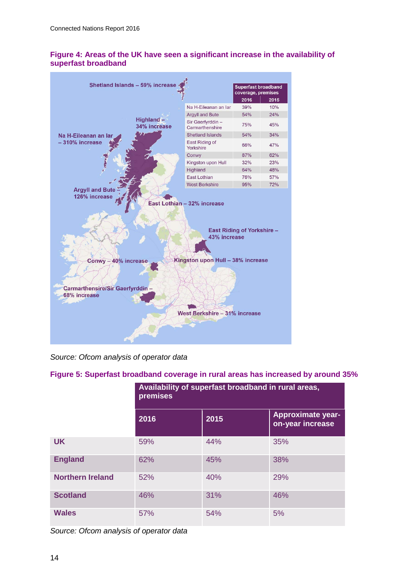## <span id="page-3-0"></span>**Figure 4: Areas of the UK have seen a significant increase in the availability of superfast broadband**



*Source: Ofcom analysis of operator data*

# <span id="page-3-1"></span>**Figure 5: Superfast broadband coverage in rural areas has increased by around 35%**

|                         | Availability of superfast broadband in rural areas,<br>premises |      |                                              |
|-------------------------|-----------------------------------------------------------------|------|----------------------------------------------|
|                         | 2016                                                            | 2015 | <b>Approximate year-</b><br>on-year increase |
| <b>UK</b>               | 59%                                                             | 44%  | 35%                                          |
| <b>England</b>          | 62%                                                             | 45%  | 38%                                          |
| <b>Northern Ireland</b> | 52%                                                             | 40%  | 29%                                          |
| <b>Scotland</b>         | 46%                                                             | 31%  | 46%                                          |
| <b>Wales</b>            | 57%                                                             | 54%  | 5%                                           |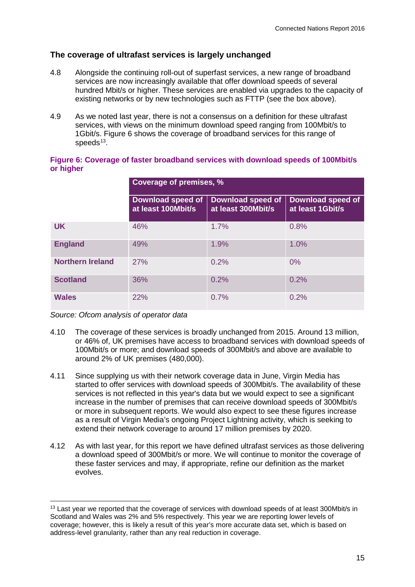# **The coverage of ultrafast services is largely unchanged**

- 4.8 Alongside the continuing roll-out of superfast services, a new range of broadband services are now increasingly available that offer download speeds of several hundred Mbit/s or higher. These services are enabled via upgrades to the capacity of existing networks or by new technologies such as FTTP (see the box above).
- 4.9 As we noted last year, there is not a consensus on a definition for these ultrafast services, with views on the minimum download speed ranging from 100Mbit/s to 1Gbit/s. [Figure 6](#page-4-0) shows the coverage of broadband services for this range of speeds $13$ .

|                         | Coverage of premises, %                 |                                                |                                              |
|-------------------------|-----------------------------------------|------------------------------------------------|----------------------------------------------|
|                         | Download speed of<br>at least 100Mbit/s | <b>Download speed of</b><br>at least 300Mbit/s | <b>Download speed of</b><br>at least 1Gbit/s |
| <b>UK</b>               | 46%                                     | 1.7%                                           | 0.8%                                         |
| <b>England</b>          | 49%                                     | 1.9%                                           | 1.0%                                         |
| <b>Northern Ireland</b> | 27%                                     | 0.2%                                           | 0%                                           |
| <b>Scotland</b>         | 36%                                     | 0.2%                                           | 0.2%                                         |
| <b>Wales</b>            | 22%                                     | 0.7%                                           | 0.2%                                         |

#### <span id="page-4-0"></span>**Figure 6: Coverage of faster broadband services with download speeds of 100Mbit/s or higher**

- 4.10 The coverage of these services is broadly unchanged from 2015. Around 13 million, or 46% of, UK premises have access to broadband services with download speeds of 100Mbit/s or more; and download speeds of 300Mbit/s and above are available to around 2% of UK premises (480,000).
- 4.11 Since supplying us with their network coverage data in June, Virgin Media has started to offer services with download speeds of 300Mbit/s. The availability of these services is not reflected in this year's data but we would expect to see a significant increase in the number of premises that can receive download speeds of 300Mbit/s or more in subsequent reports. We would also expect to see these figures increase as a result of Virgin Media's ongoing Project Lightning activity, which is seeking to extend their network coverage to around 17 million premises by 2020.
- 4.12 As with last year, for this report we have defined ultrafast services as those delivering a download speed of 300Mbit/s or more. We will continue to monitor the coverage of these faster services and may, if appropriate, refine our definition as the market evolves.

<span id="page-4-1"></span><sup>&</sup>lt;sup>13</sup> Last year we reported that the coverage of services with download speeds of at least 300Mbit/s in Scotland and Wales was 2% and 5% respectively. This year we are reporting lower levels of coverage; however, this is likely a result of this year's more accurate data set, which is based on address-level granularity, rather than any real reduction in coverage.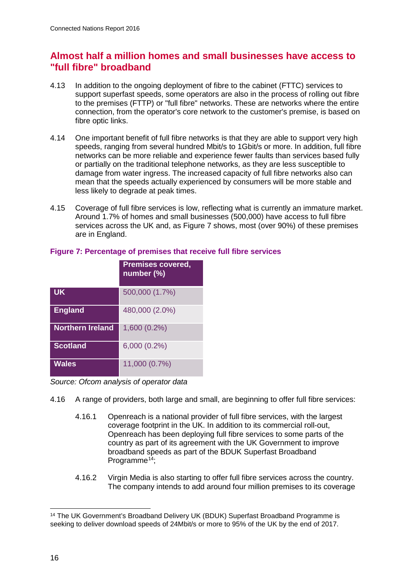# **Almost half a million homes and small businesses have access to "full fibre" broadband**

- 4.13 In addition to the ongoing deployment of fibre to the cabinet (FTTC) services to support superfast speeds, some operators are also in the process of rolling out fibre to the premises (FTTP) or "full fibre" networks. These are networks where the entire connection, from the operator's core network to the customer's premise, is based on fibre optic links.
- 4.14 One important benefit of full fibre networks is that they are able to support very high speeds, ranging from several hundred Mbit/s to 1Gbit/s or more. In addition, full fibre networks can be more reliable and experience fewer faults than services based fully or partially on the traditional telephone networks, as they are less susceptible to damage from water ingress. The increased capacity of full fibre networks also can mean that the speeds actually experienced by consumers will be more stable and less likely to degrade at peak times.
- 4.15 Coverage of full fibre services is low, reflecting what is currently an immature market. Around 1.7% of homes and small businesses (500,000) have access to full fibre services across the UK and, as [Figure 7](#page-5-0) shows, most (over 90%) of these premises are in England.

|                         | <b>Premises covered,</b><br>number (%) |
|-------------------------|----------------------------------------|
| <b>UK</b>               | 500,000 (1.7%)                         |
| <b>England</b>          | 480,000 (2.0%)                         |
| <b>Northern Ireland</b> | 1,600 (0.2%)                           |
| <b>Scotland</b>         | $6,000(0.2\%)$                         |
| <b>Wales</b>            | 11,000 (0.7%)                          |

# <span id="page-5-0"></span>**Figure 7: Percentage of premises that receive full fibre services**

- 4.16 A range of providers, both large and small, are beginning to offer full fibre services:
	- 4.16.1 Openreach is a national provider of full fibre services, with the largest coverage footprint in the UK. In addition to its commercial roll-out, Openreach has been deploying full fibre services to some parts of the country as part of its agreement with the UK Government to improve broadband speeds as part of the BDUK Superfast Broadband Programme<sup> $14$ </sup>:
	- 4.16.2 Virgin Media is also starting to offer full fibre services across the country. The company intends to add around four million premises to its coverage

<span id="page-5-1"></span><sup>&</sup>lt;sup>14</sup> The UK Government's Broadband Delivery UK (BDUK) Superfast Broadband Programme is seeking to deliver download speeds of 24Mbit/s or more to 95% of the UK by the end of 2017.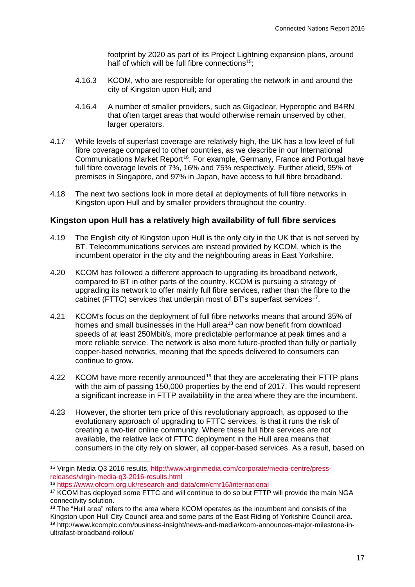footprint by 2020 as part of its Project Lightning expansion plans, around half of which will be full fibre connections<sup>15</sup>:

- 4.16.3 KCOM, who are responsible for operating the network in and around the city of Kingston upon Hull; and
- 4.16.4 A number of smaller providers, such as Gigaclear, Hyperoptic and B4RN that often target areas that would otherwise remain unserved by other, larger operators.
- 4.17 While levels of superfast coverage are relatively high, the UK has a low level of full fibre coverage compared to other countries, as we describe in our International Communications Market Report<sup>16</sup>. For example, Germany, France and Portugal have full fibre coverage levels of 7%, 16% and 75% respectively. Further afield, 95% of premises in Singapore, and 97% in Japan, have access to full fibre broadband.
- 4.18 The next two sections look in more detail at deployments of full fibre networks in Kingston upon Hull and by smaller providers throughout the country.

#### **Kingston upon Hull has a relatively high availability of full fibre services**

- 4.19 The English city of Kingston upon Hull is the only city in the UK that is not served by BT. Telecommunications services are instead provided by KCOM, which is the incumbent operator in the city and the neighbouring areas in East Yorkshire.
- 4.20 KCOM has followed a different approach to upgrading its broadband network, compared to BT in other parts of the country. KCOM is pursuing a strategy of upgrading its network to offer mainly full fibre services, rather than the fibre to the cabinet (FTTC) services that underpin most of BT's superfast services<sup>[17](#page-6-2)</sup>.
- 4.21 KCOM's focus on the deployment of full fibre networks means that around 35% of homes and small businesses in the Hull area<sup>[18](#page-6-3)</sup> can now benefit from download speeds of at least 250Mbit/s, more predictable performance at peak times and a more reliable service. The network is also more future-proofed than fully or partially copper-based networks, meaning that the speeds delivered to consumers can continue to grow.
- 4.22 KCOM have more recently announced<sup>[19](#page-6-4)</sup> that they are accelerating their FTTP plans with the aim of passing 150,000 properties by the end of 2017. This would represent a significant increase in FTTP availability in the area where they are the incumbent.
- 4.23 However, the shorter tem price of this revolutionary approach, as opposed to the evolutionary approach of upgrading to FTTC services, is that it runs the risk of creating a two-tier online community. Where these full fibre services are not available, the relative lack of FTTC deployment in the Hull area means that consumers in the city rely on slower, all copper-based services. As a result, based on

<span id="page-6-0"></span> <sup>15</sup> Virgin Media Q3 2016 results, [http://www.virginmedia.com/corporate/media-centre/press](http://www.virginmedia.com/corporate/media-centre/press-releases/virgin-media-q3-2016-results.html)[releases/virgin-media-q3-2016-results.html](http://www.virginmedia.com/corporate/media-centre/press-releases/virgin-media-q3-2016-results.html)

<sup>16</sup> <https://www.ofcom.org.uk/research-and-data/cmr/cmr16/international>

<span id="page-6-2"></span><span id="page-6-1"></span><sup>&</sup>lt;sup>17</sup> KCOM has deployed some FTTC and will continue to do so but FTTP will provide the main NGA connectivity solution.

<span id="page-6-4"></span><span id="page-6-3"></span><sup>&</sup>lt;sup>18</sup> The "Hull area" refers to the area where KCOM operates as the incumbent and consists of the Kingston upon Hull City Council area and some parts of the East Riding of Yorkshire Council area. <sup>19</sup> http://www.kcomplc.com/business-insight/news-and-media/kcom-announces-major-milestone-inultrafast-broadband-rollout/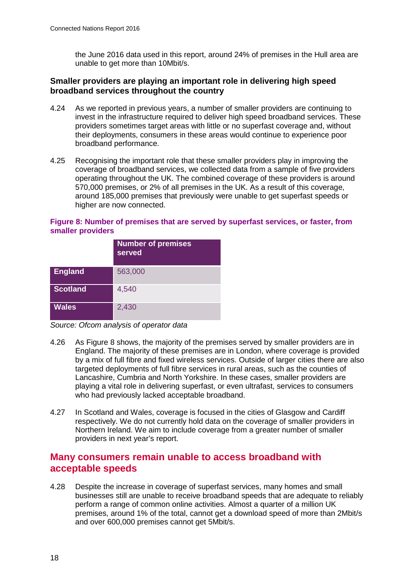the June 2016 data used in this report, around 24% of premises in the Hull area are unable to get more than 10Mbit/s.

#### **Smaller providers are playing an important role in delivering high speed broadband services throughout the country**

- 4.24 As we reported in previous years, a number of smaller providers are continuing to invest in the infrastructure required to deliver high speed broadband services. These providers sometimes target areas with little or no superfast coverage and, without their deployments, consumers in these areas would continue to experience poor broadband performance.
- 4.25 Recognising the important role that these smaller providers play in improving the coverage of broadband services, we collected data from a sample of five providers operating throughout the UK. The combined coverage of these providers is around 570,000 premises, or 2% of all premises in the UK. As a result of this coverage, around 185,000 premises that previously were unable to get superfast speeds or higher are now connected.

#### <span id="page-7-0"></span>**Figure 8: Number of premises that are served by superfast services, or faster, from smaller providers**

|                 | <b>Number of premises</b><br>served |
|-----------------|-------------------------------------|
| England         | 563,000                             |
| <b>Scotland</b> | 4,540                               |
| <b>Wales</b>    | 2,430                               |

*Source: Ofcom analysis of operator data*

- 4.26 As [Figure 8](#page-7-0) shows, the majority of the premises served by smaller providers are in England. The majority of these premises are in London, where coverage is provided by a mix of full fibre and fixed wireless services. Outside of larger cities there are also targeted deployments of full fibre services in rural areas, such as the counties of Lancashire, Cumbria and North Yorkshire. In these cases, smaller providers are playing a vital role in delivering superfast, or even ultrafast, services to consumers who had previously lacked acceptable broadband.
- 4.27 In Scotland and Wales, coverage is focused in the cities of Glasgow and Cardiff respectively. We do not currently hold data on the coverage of smaller providers in Northern Ireland. We aim to include coverage from a greater number of smaller providers in next year's report.

# **Many consumers remain unable to access broadband with acceptable speeds**

4.28 Despite the increase in coverage of superfast services, many homes and small businesses still are unable to receive broadband speeds that are adequate to reliably perform a range of common online activities. Almost a quarter of a million UK premises, around 1% of the total, cannot get a download speed of more than 2Mbit/s and over 600,000 premises cannot get 5Mbit/s.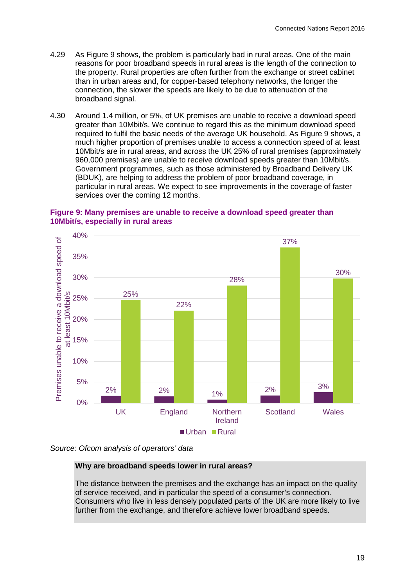- 4.29 As [Figure 9](#page-8-0) shows, the problem is particularly bad in rural areas. One of the main reasons for poor broadband speeds in rural areas is the length of the connection to the property. Rural properties are often further from the exchange or street cabinet than in urban areas and, for copper-based telephony networks, the longer the connection, the slower the speeds are likely to be due to attenuation of the broadband signal.
- 4.30 Around 1.4 million, or 5%, of UK premises are unable to receive a download speed greater than 10Mbit/s. We continue to regard this as the minimum download speed required to fulfil the basic needs of the average UK household. As [Figure 9](#page-8-0) shows, a much higher proportion of premises unable to access a connection speed of at least 10Mbit/s are in rural areas, and across the UK 25% of rural premises (approximately 960,000 premises) are unable to receive download speeds greater than 10Mbit/s. Government programmes, such as those administered by Broadband Delivery UK (BDUK), are helping to address the problem of poor broadband coverage, in particular in rural areas. We expect to see improvements in the coverage of faster services over the coming 12 months.

#### <span id="page-8-0"></span>**Figure 9: Many premises are unable to receive a download speed greater than 10Mbit/s, especially in rural areas**





#### **Why are broadband speeds lower in rural areas?**

The distance between the premises and the exchange has an impact on the quality of service received, and in particular the speed of a consumer's connection. Consumers who live in less densely populated parts of the UK are more likely to live further from the exchange, and therefore achieve lower broadband speeds.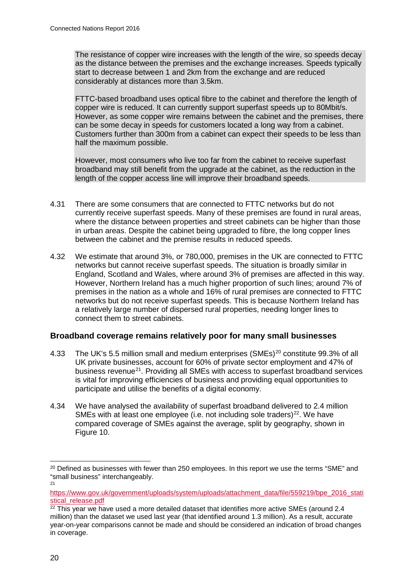The resistance of copper wire increases with the length of the wire, so speeds decay as the distance between the premises and the exchange increases. Speeds typically start to decrease between 1 and 2km from the exchange and are reduced considerably at distances more than 3.5km.

FTTC-based broadband uses optical fibre to the cabinet and therefore the length of copper wire is reduced. It can currently support superfast speeds up to 80Mbit/s. However, as some copper wire remains between the cabinet and the premises, there can be some decay in speeds for customers located a long way from a cabinet. Customers further than 300m from a cabinet can expect their speeds to be less than half the maximum possible.

However, most consumers who live too far from the cabinet to receive superfast broadband may still benefit from the upgrade at the cabinet, as the reduction in the length of the copper access line will improve their broadband speeds.

- 4.31 There are some consumers that are connected to FTTC networks but do not currently receive superfast speeds. Many of these premises are found in rural areas, where the distance between properties and street cabinets can be higher than those in urban areas. Despite the cabinet being upgraded to fibre, the long copper lines between the cabinet and the premise results in reduced speeds.
- 4.32 We estimate that around 3%, or 780,000, premises in the UK are connected to FTTC networks but cannot receive superfast speeds. The situation is broadly similar in England, Scotland and Wales, where around 3% of premises are affected in this way. However, Northern Ireland has a much higher proportion of such lines; around 7% of premises in the nation as a whole and 16% of rural premises are connected to FTTC networks but do not receive superfast speeds. This is because Northern Ireland has a relatively large number of dispersed rural properties, needing longer lines to connect them to street cabinets.

# **Broadband coverage remains relatively poor for many small businesses**

- 4.33 The UK's 5.5 million small and medium enterprises (SMEs)<sup>[20](#page-9-0)</sup> constitute 99.3% of all UK private businesses, account for 60% of private sector employment and 47% of business revenue<sup>[21](#page-9-1)</sup>. Providing all SMEs with access to superfast broadband services is vital for improving efficiencies of business and providing equal opportunities to participate and utilise the benefits of a digital economy.
- 4.34 We have analysed the availability of superfast broadband delivered to 2.4 million SMEs with at least one employee (i.e. not including sole traders)<sup>[22](#page-9-2)</sup>. We have compared coverage of SMEs against the average, split by geography, shown in [Figure 10.](#page-10-0)

<span id="page-9-0"></span><sup>&</sup>lt;sup>20</sup> Defined as businesses with fewer than 250 employees. In this report we use the terms "SME" and "small business" interchangeably.

 $21$ 

<span id="page-9-1"></span>[https://www.gov.uk/government/uploads/system/uploads/attachment\\_data/file/559219/bpe\\_2016\\_stati](https://www.gov.uk/government/uploads/system/uploads/attachment_data/file/559219/bpe_2016_statistical_release.pdf) [stical\\_release.pdf](https://www.gov.uk/government/uploads/system/uploads/attachment_data/file/559219/bpe_2016_statistical_release.pdf)

<span id="page-9-2"></span> $22$  This year we have used a more detailed dataset that identifies more active SMEs (around 2.4 million) than the dataset we used last year (that identified around 1.3 million). As a result, accurate year-on-year comparisons cannot be made and should be considered an indication of broad changes in coverage.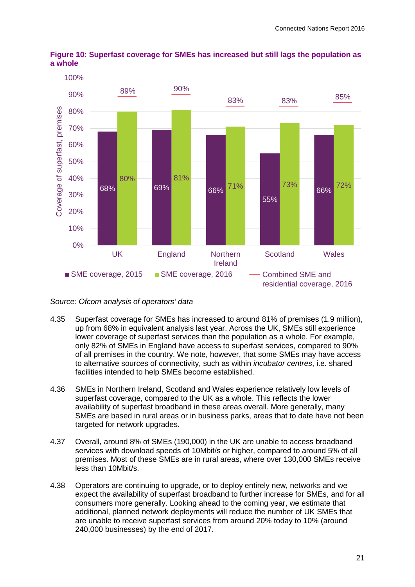

<span id="page-10-0"></span>**Figure 10: Superfast coverage for SMEs has increased but still lags the population as a whole**

- 4.35 Superfast coverage for SMEs has increased to around 81% of premises (1.9 million), up from 68% in equivalent analysis last year. Across the UK, SMEs still experience lower coverage of superfast services than the population as a whole. For example, only 82% of SMEs in England have access to superfast services, compared to 90% of all premises in the country. We note, however, that some SMEs may have access to alternative sources of connectivity, such as within *incubator centres*, i.e. shared facilities intended to help SMEs become established.
- 4.36 SMEs in Northern Ireland, Scotland and Wales experience relatively low levels of superfast coverage, compared to the UK as a whole. This reflects the lower availability of superfast broadband in these areas overall. More generally, many SMEs are based in rural areas or in business parks, areas that to date have not been targeted for network upgrades.
- 4.37 Overall, around 8% of SMEs (190,000) in the UK are unable to access broadband services with download speeds of 10Mbit/s or higher, compared to around 5% of all premises. Most of these SMEs are in rural areas, where over 130,000 SMEs receive less than 10Mbit/s.
- 4.38 Operators are continuing to upgrade, or to deploy entirely new, networks and we expect the availability of superfast broadband to further increase for SMEs, and for all consumers more generally. Looking ahead to the coming year, we estimate that additional, planned network deployments will reduce the number of UK SMEs that are unable to receive superfast services from around 20% today to 10% (around 240,000 businesses) by the end of 2017.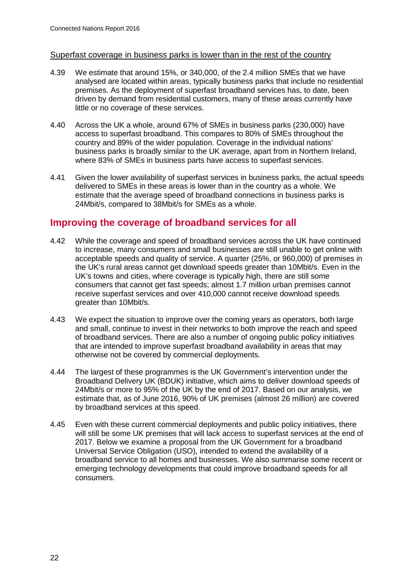#### Superfast coverage in business parks is lower than in the rest of the country

- 4.39 We estimate that around 15%, or 340,000, of the 2.4 million SMEs that we have analysed are located within areas, typically business parks that include no residential premises. As the deployment of superfast broadband services has, to date, been driven by demand from residential customers, many of these areas currently have little or no coverage of these services.
- 4.40 Across the UK a whole, around 67% of SMEs in business parks (230,000) have access to superfast broadband. This compares to 80% of SMEs throughout the country and 89% of the wider population. Coverage in the individual nations' business parks is broadly similar to the UK average, apart from in Northern Ireland, where 83% of SMEs in business parts have access to superfast services.
- 4.41 Given the lower availability of superfast services in business parks, the actual speeds delivered to SMEs in these areas is lower than in the country as a whole. We estimate that the average speed of broadband connections in business parks is 24Mbit/s, compared to 38Mbit/s for SMEs as a whole.

# **Improving the coverage of broadband services for all**

- 4.42 While the coverage and speed of broadband services across the UK have continued to increase, many consumers and small businesses are still unable to get online with acceptable speeds and quality of service. A quarter (25%, or 960,000) of premises in the UK's rural areas cannot get download speeds greater than 10Mbit/s. Even in the UK's towns and cities, where coverage is typically high, there are still some consumers that cannot get fast speeds; almost 1.7 million urban premises cannot receive superfast services and over 410,000 cannot receive download speeds greater than 10Mbit/s.
- 4.43 We expect the situation to improve over the coming years as operators, both large and small, continue to invest in their networks to both improve the reach and speed of broadband services. There are also a number of ongoing public policy initiatives that are intended to improve superfast broadband availability in areas that may otherwise not be covered by commercial deployments.
- 4.44 The largest of these programmes is the UK Government's intervention under the Broadband Delivery UK (BDUK) initiative, which aims to deliver download speeds of 24Mbit/s or more to 95% of the UK by the end of 2017. Based on our analysis, we estimate that, as of June 2016, 90% of UK premises (almost 26 million) are covered by broadband services at this speed.
- 4.45 Even with these current commercial deployments and public policy initiatives, there will still be some UK premises that will lack access to superfast services at the end of 2017. Below we examine a proposal from the UK Government for a broadband Universal Service Obligation (USO), intended to extend the availability of a broadband service to all homes and businesses. We also summarise some recent or emerging technology developments that could improve broadband speeds for all consumers.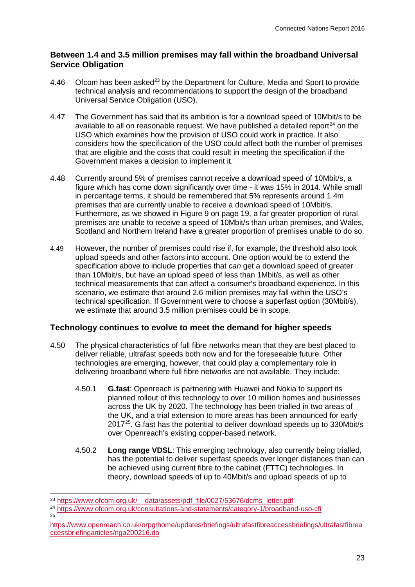# **Between 1.4 and 3.5 million premises may fall within the broadband Universal Service Obligation**

- 4.46 Ofcom has been asked<sup>[23](#page-12-0)</sup> by the Department for Culture, Media and Sport to provide technical analysis and recommendations to support the design of the broadband Universal Service Obligation (USO).
- 4.47 The Government has said that its ambition is for a download speed of 10Mbit/s to be available to all on reasonable request. We have published a detailed report<sup>[24](#page-12-1)</sup> on the USO which examines how the provision of USO could work in practice. It also considers how the specification of the USO could affect both the number of premises that are eligible and the costs that could result in meeting the specification if the Government makes a decision to implement it.
- 4.48 Currently around 5% of premises cannot receive a download speed of 10Mbit/s, a figure which has come down significantly over time - it was 15% in 2014. While small in percentage terms, it should be remembered that 5% represents around 1.4m premises that are currently unable to receive a download speed of 10Mbit/s. Furthermore, as we showed in [Figure 9](#page-8-0) on page [19,](#page-8-0) a far greater proportion of rural premises are unable to receive a speed of 10Mbit/s than urban premises, and Wales, Scotland and Northern Ireland have a greater proportion of premises unable to do so.
- 4.49 However, the number of premises could rise if, for example, the threshold also took upload speeds and other factors into account. One option would be to extend the specification above to include properties that *can* get a download speed of greater than 10Mbit/s, but have an upload speed of less than 1Mbit/s, as well as other technical measurements that can affect a consumer's broadband experience. In this scenario, we estimate that around 2.6 million premises may fall within the USO's technical specification. If Government were to choose a superfast option (30Mbit/s), we estimate that around 3.5 million premises could be in scope.

# **Technology continues to evolve to meet the demand for higher speeds**

- 4.50 The physical characteristics of full fibre networks mean that they are best placed to deliver reliable, ultrafast speeds both now and for the foreseeable future. Other technologies are emerging, however, that could play a complementary role in delivering broadband where full fibre networks are not available. They include:
	- 4.50.1 **G.fast**: Openreach is partnering with Huawei and Nokia to support its planned rollout of this technology to over 10 million homes and businesses across the UK by 2020. The technology has been trialled in two areas of the UK, and a trial extension to more areas has been announced for early 2017[25](#page-12-2). G.fast has the potential to deliver download speeds up to 330Mbit/s over Openreach's existing copper-based network.
	- 4.50.2 **Long range VDSL**: This emerging technology, also currently being trialled, has the potential to deliver superfast speeds over longer distances than can be achieved using current fibre to the cabinet (FTTC) technologies. In theory, download speeds of up to 40Mbit/s and upload speeds of up to

<span id="page-12-0"></span><sup>&</sup>lt;sup>23</sup> https://www.ofcom.org.uk/ data/assets/pdf file/0027/53676/dcms letter.pdf

<span id="page-12-1"></span><sup>24</sup> <https://www.ofcom.org.uk/consultations-and-statements/category-1/broadband-uso-cfi> 25

<span id="page-12-2"></span>[https://www.openreach.co.uk/orpg/home/updates/briefings/ultrafastfibreaccessbriefings/ultrafastfibrea](https://www.openreach.co.uk/orpg/home/updates/briefings/ultrafastfibreaccessbriefings/ultrafastfibreaccessbriefingarticles/nga200216.do) [ccessbriefingarticles/nga200216.do](https://www.openreach.co.uk/orpg/home/updates/briefings/ultrafastfibreaccessbriefings/ultrafastfibreaccessbriefingarticles/nga200216.do)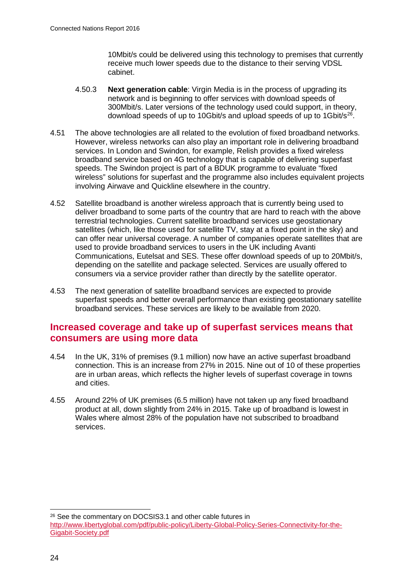10Mbit/s could be delivered using this technology to premises that currently receive much lower speeds due to the distance to their serving VDSL cabinet.

- 4.50.3 **Next generation cable**: Virgin Media is in the process of upgrading its network and is beginning to offer services with download speeds of 300Mbit/s. Later versions of the technology used could support, in theory, download speeds of up to 10Gbit/s and upload speeds of up to 1Gbit/s<sup>26</sup>.
- 4.51 The above technologies are all related to the evolution of fixed broadband networks. However, wireless networks can also play an important role in delivering broadband services. In London and Swindon, for example, Relish provides a fixed wireless broadband service based on 4G technology that is capable of delivering superfast speeds. The Swindon project is part of a BDUK programme to evaluate "fixed wireless" solutions for superfast and the programme also includes equivalent projects involving Airwave and Quickline elsewhere in the country.
- 4.52 Satellite broadband is another wireless approach that is currently being used to deliver broadband to some parts of the country that are hard to reach with the above terrestrial technologies. Current satellite broadband services use geostationary satellites (which, like those used for satellite TV, stay at a fixed point in the sky) and can offer near universal coverage. A number of companies operate satellites that are used to provide broadband services to users in the UK including Avanti Communications, Eutelsat and SES. These offer download speeds of up to 20Mbit/s, depending on the satellite and package selected. Services are usually offered to consumers via a service provider rather than directly by the satellite operator.
- 4.53 The next generation of satellite broadband services are expected to provide superfast speeds and better overall performance than existing geostationary satellite broadband services. These services are likely to be available from 2020.

# **Increased coverage and take up of superfast services means that consumers are using more data**

- 4.54 In the UK, 31% of premises (9.1 million) now have an active superfast broadband connection. This is an increase from 27% in 2015. Nine out of 10 of these properties are in urban areas, which reflects the higher levels of superfast coverage in towns and cities.
- 4.55 Around 22% of UK premises (6.5 million) have not taken up any fixed broadband product at all, down slightly from 24% in 2015. Take up of broadband is lowest in Wales where almost 28% of the population have not subscribed to broadband services.

<span id="page-13-0"></span> <sup>26</sup> See the commentary on DOCSIS3.1 and other cable futures in [http://www.libertyglobal.com/pdf/public-policy/Liberty-Global-Policy-Series-Connectivity-for-the-](http://www.libertyglobal.com/pdf/public-policy/Liberty-Global-Policy-Series-Connectivity-for-the-Gigabit-Society.pdf)[Gigabit-Society.pdf](http://www.libertyglobal.com/pdf/public-policy/Liberty-Global-Policy-Series-Connectivity-for-the-Gigabit-Society.pdf)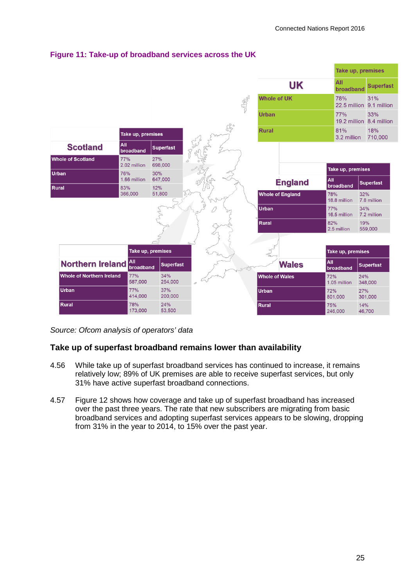

# **Figure 11: Take-up of broadband services across the UK**

*Source: Ofcom analysis of operators' data*

# **Take up of superfast broadband remains lower than availability**

- 4.56 While take up of superfast broadband services has continued to increase, it remains relatively low; 89% of UK premises are able to receive superfast services, but only 31% have active superfast broadband connections.
- 4.57 [Figure 12](#page-15-0) shows how coverage and take up of superfast broadband has increased over the past three years. The rate that new subscribers are migrating from basic broadband services and adopting superfast services appears to be slowing, dropping from 31% in the year to 2014, to 15% over the past year.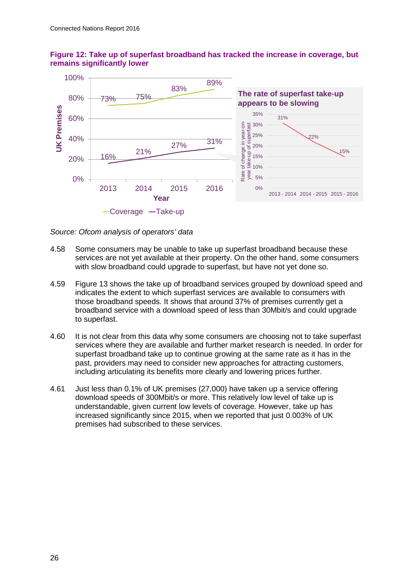

#### <span id="page-15-0"></span>**Figure 12: Take up of superfast broadband has tracked the increase in coverage, but remains significantly lower**

*Source: Ofcom analysis of operators' data*

- 4.58 Some consumers may be unable to take up superfast broadband because these services are not yet available at their property. On the other hand, some consumers with slow broadband could upgrade to superfast, but have not yet done so.
- 4.59 [Figure 13](#page-16-0) shows the take up of broadband services grouped by download speed and indicates the extent to which superfast services are available to consumers with those broadband speeds. It shows that around 37% of premises currently get a broadband service with a download speed of less than 30Mbit/s and could upgrade to superfast.
- 4.60 It is not clear from this data why some consumers are choosing not to take superfast services where they are available and further market research is needed. In order for superfast broadband take up to continue growing at the same rate as it has in the past, providers may need to consider new approaches for attracting customers, including articulating its benefits more clearly and lowering prices further.
- 4.61 Just less than 0.1% of UK premises (27,000) have taken up a service offering download speeds of 300Mbit/s or more. This relatively low level of take up is understandable, given current low levels of coverage. However, take up has increased significantly since 2015, when we reported that just 0.003% of UK premises had subscribed to these services.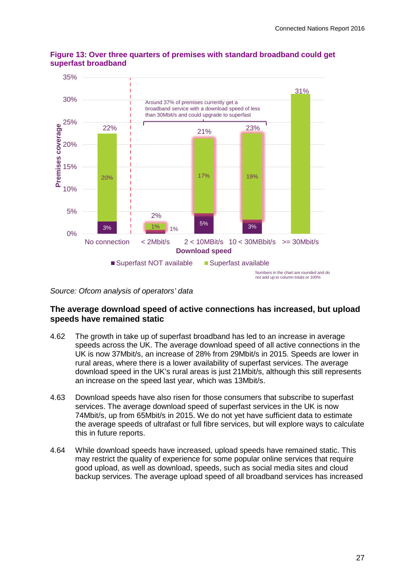

## <span id="page-16-0"></span>**Figure 13: Over three quarters of premises with standard broadband could get superfast broadband**

*Source: Ofcom analysis of operators' data*

# **The average download speed of active connections has increased, but upload speeds have remained static**

- 4.62 The growth in take up of superfast broadband has led to an increase in average speeds across the UK. The average download speed of all active connections in the UK is now 37Mbit/s, an increase of 28% from 29Mbit/s in 2015. Speeds are lower in rural areas, where there is a lower availability of superfast services. The average download speed in the UK's rural areas is just 21Mbit/s, although this still represents an increase on the speed last year, which was 13Mbit/s.
- 4.63 Download speeds have also risen for those consumers that subscribe to superfast services. The average download speed of superfast services in the UK is now 74Mbit/s, up from 65Mbit/s in 2015. We do not yet have sufficient data to estimate the average speeds of ultrafast or full fibre services, but will explore ways to calculate this in future reports.
- 4.64 While download speeds have increased, upload speeds have remained static. This may restrict the quality of experience for some popular online services that require good upload, as well as download, speeds, such as social media sites and cloud backup services. The average upload speed of all broadband services has increased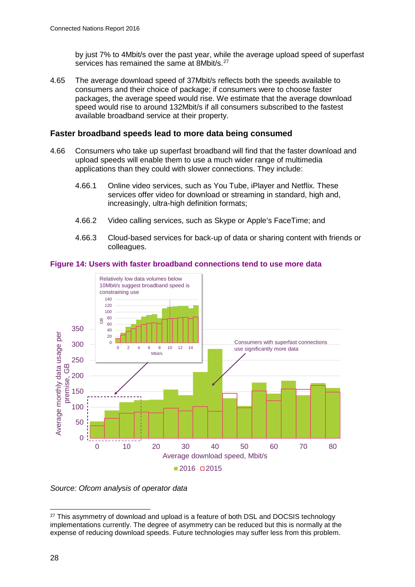by just 7% to 4Mbit/s over the past year, while the average upload speed of superfast services has remained the same at 8Mbit/s.<sup>[27](#page-17-0)</sup>

4.65 The average download speed of 37Mbit/s reflects both the speeds available to consumers and their choice of package; if consumers were to choose faster packages, the average speed would rise. We estimate that the average download speed would rise to around 132Mbit/s if all consumers subscribed to the fastest available broadband service at their property.

#### **Faster broadband speeds lead to more data being consumed**

- 4.66 Consumers who take up superfast broadband will find that the faster download and upload speeds will enable them to use a much wider range of multimedia applications than they could with slower connections. They include:
	- 4.66.1 Online video services, such as You Tube, iPlayer and Netflix. These services offer video for download or streaming in standard, high and, increasingly, ultra-high definition formats;
	- 4.66.2 Video calling services, such as Skype or Apple's FaceTime; and
	- 4.66.3 Cloud-based services for back-up of data or sharing content with friends or colleagues.

<span id="page-17-1"></span>



*Source: Ofcom analysis of operator data*

<span id="page-17-0"></span><sup>&</sup>lt;sup>27</sup> This asymmetry of download and upload is a feature of both DSL and DOCSIS technology implementations currently. The degree of asymmetry can be reduced but this is normally at the expense of reducing download speeds. Future technologies may suffer less from this problem.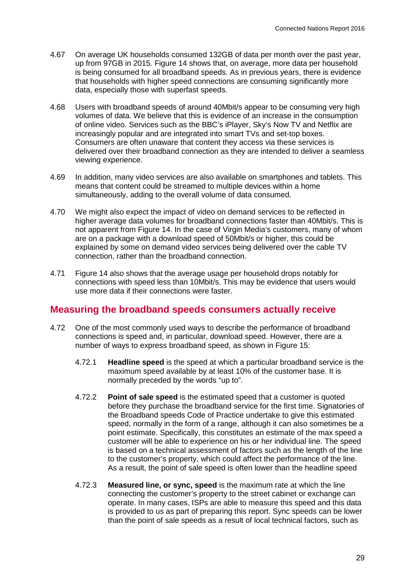- 4.67 On average UK households consumed 132GB of data per month over the past year, up from 97GB in 2015. [Figure 14](#page-17-1) shows that, on average, more data per household is being consumed for all broadband speeds. As in previous years, there is evidence that households with higher speed connections are consuming significantly more data, especially those with superfast speeds.
- 4.68 Users with broadband speeds of around 40Mbit/s appear to be consuming very high volumes of data. We believe that this is evidence of an increase in the consumption of online video. Services such as the BBC's iPlayer, Sky's Now TV and Netflix are increasingly popular and are integrated into smart TVs and set-top boxes. Consumers are often unaware that content they access via these services is delivered over their broadband connection as they are intended to deliver a seamless viewing experience.
- 4.69 In addition, many video services are also available on smartphones and tablets. This means that content could be streamed to multiple devices within a home simultaneously, adding to the overall volume of data consumed.
- 4.70 We might also expect the impact of video on demand services to be reflected in higher average data volumes for broadband connections faster than 40Mbit/s. This is not apparent from [Figure 14.](#page-17-1) In the case of Virgin Media's customers, many of whom are on a package with a download speed of 50Mbit/s or higher, this could be explained by some on demand video services being delivered over the cable TV connection, rather than the broadband connection.
- 4.71 [Figure 14](#page-17-1) also shows that the average usage per household drops notably for connections with speed less than 10Mbit/s. This may be evidence that users would use more data if their connections were faster.

# **Measuring the broadband speeds consumers actually receive**

- 4.72 One of the most commonly used ways to describe the performance of broadband connections is speed and, in particular, download speed. However, there are a number of ways to express broadband speed, as shown in [Figure 15:](#page-19-0)
	- 4.72.1 **Headline speed** is the speed at which a particular broadband service is the maximum speed available by at least 10% of the customer base. It is normally preceded by the words "up to".
	- 4.72.2 **Point of sale speed** is the estimated speed that a customer is quoted before they purchase the broadband service for the first time. Signatories of the Broadband speeds Code of Practice undertake to give this estimated speed, normally in the form of a range, although it can also sometimes be a point estimate. Specifically, this constitutes an estimate of the max speed a customer will be able to experience on his or her individual line. The speed is based on a technical assessment of factors such as the length of the line to the customer's property, which could affect the performance of the line. As a result, the point of sale speed is often lower than the headline speed
	- 4.72.3 **Measured line, or sync, speed** is the maximum rate at which the line connecting the customer's property to the street cabinet or exchange can operate. In many cases, ISPs are able to measure this speed and this data is provided to us as part of preparing this report. Sync speeds can be lower than the point of sale speeds as a result of local technical factors, such as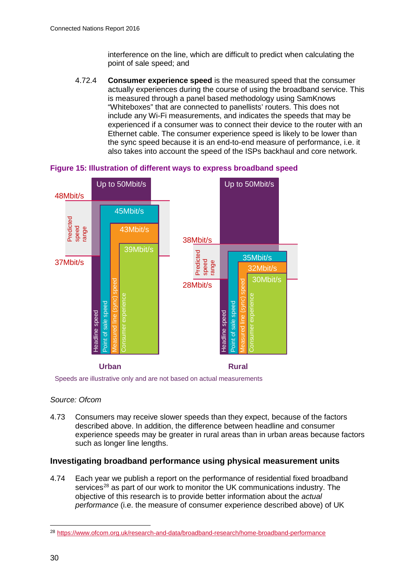interference on the line, which are difficult to predict when calculating the point of sale speed; and

4.72.4 **Consumer experience speed** is the measured speed that the consumer actually experiences during the course of using the broadband service. This is measured through a panel based methodology using SamKnows "Whiteboxes" that are connected to panellists' routers. This does not include any Wi-Fi measurements, and indicates the speeds that may be experienced if a consumer was to connect their device to the router with an Ethernet cable. The consumer experience speed is likely to be lower than the sync speed because it is an end-to-end measure of performance, i.e. it also takes into account the speed of the ISPs backhaul and core network.



<span id="page-19-0"></span>**Figure 15: Illustration of different ways to express broadband speed**

Speeds are illustrative only and are not based on actual measurements

#### *Source: Ofcom*

4.73 Consumers may receive slower speeds than they expect, because of the factors described above. In addition, the difference between headline and consumer experience speeds may be greater in rural areas than in urban areas because factors such as longer line lengths.

# **Investigating broadband performance using physical measurement units**

4.74 Each year we publish a report on the performance of residential fixed broadband services<sup>[28](#page-19-1)</sup> as part of our work to monitor the UK communications industry. The objective of this research is to provide better information about the *actual performance* (i.e. the measure of consumer experience described above) of UK

<span id="page-19-1"></span> <sup>28</sup> <https://www.ofcom.org.uk/research-and-data/broadband-research/home-broadband-performance>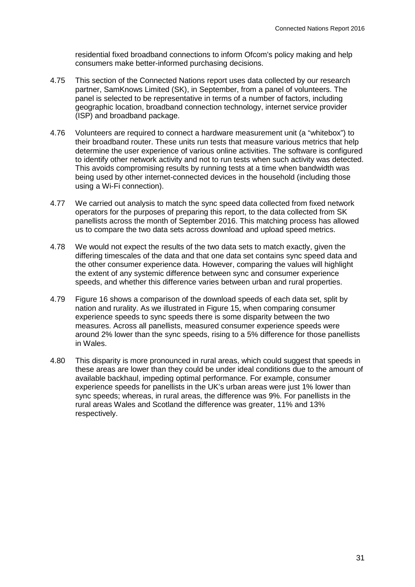residential fixed broadband connections to inform Ofcom's policy making and help consumers make better-informed purchasing decisions.

- 4.75 This section of the Connected Nations report uses data collected by our research partner, SamKnows Limited (SK), in September, from a panel of volunteers. The panel is selected to be representative in terms of a number of factors, including geographic location, broadband connection technology, internet service provider (ISP) and broadband package.
- 4.76 Volunteers are required to connect a hardware measurement unit (a "whitebox") to their broadband router. These units run tests that measure various metrics that help determine the user experience of various online activities. The software is configured to identify other network activity and not to run tests when such activity was detected. This avoids compromising results by running tests at a time when bandwidth was being used by other internet-connected devices in the household (including those using a Wi-Fi connection).
- 4.77 We carried out analysis to match the sync speed data collected from fixed network operators for the purposes of preparing this report, to the data collected from SK panellists across the month of September 2016. This matching process has allowed us to compare the two data sets across download and upload speed metrics.
- 4.78 We would not expect the results of the two data sets to match exactly, given the differing timescales of the data and that one data set contains sync speed data and the other consumer experience data. However, comparing the values will highlight the extent of any systemic difference between sync and consumer experience speeds, and whether this difference varies between urban and rural properties.
- 4.79 [Figure 16](#page-21-0) shows a comparison of the download speeds of each data set, split by nation and rurality. As we illustrated in [Figure 15,](#page-19-0) when comparing consumer experience speeds to sync speeds there is some disparity between the two measures. Across all panellists, measured consumer experience speeds were around 2% lower than the sync speeds, rising to a 5% difference for those panellists in Wales.
- 4.80 This disparity is more pronounced in rural areas, which could suggest that speeds in these areas are lower than they could be under ideal conditions due to the amount of available backhaul, impeding optimal performance. For example, consumer experience speeds for panellists in the UK's urban areas were just 1% lower than sync speeds; whereas, in rural areas, the difference was 9%. For panellists in the rural areas Wales and Scotland the difference was greater, 11% and 13% respectively.